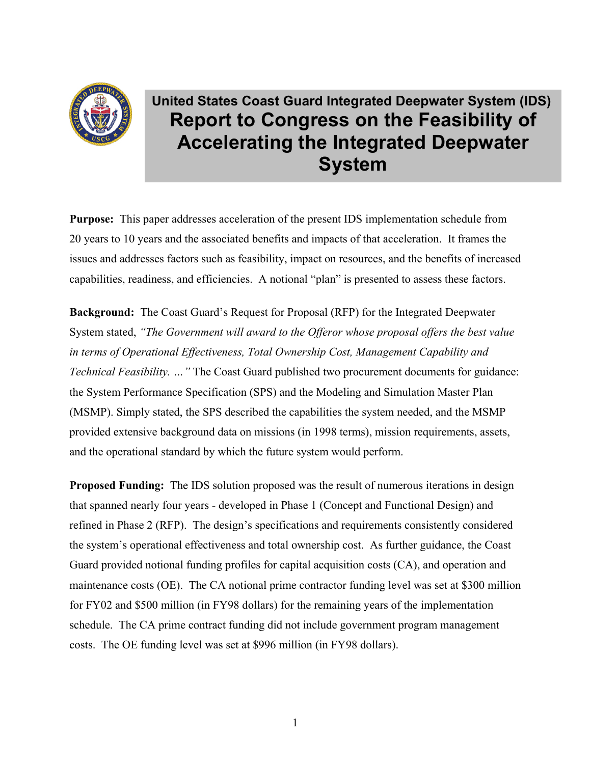

# **United States Coast Guard Integrated Deepwater System (IDS) Report to Congress on the Feasibility of Accelerating the Integrated Deepwater System**

**Purpose:** This paper addresses acceleration of the present IDS implementation schedule from 20 years to 10 years and the associated benefits and impacts of that acceleration. It frames the issues and addresses factors such as feasibility, impact on resources, and the benefits of increased capabilities, readiness, and efficiencies. A notional "plan" is presented to assess these factors.

**Background:** The Coast Guard's Request for Proposal (RFP) for the Integrated Deepwater System stated, *"The Government will award to the Offeror whose proposal offers the best value in terms of Operational Effectiveness, Total Ownership Cost, Management Capability and Technical Feasibility. …"* The Coast Guard published two procurement documents for guidance: the System Performance Specification (SPS) and the Modeling and Simulation Master Plan (MSMP). Simply stated, the SPS described the capabilities the system needed, and the MSMP provided extensive background data on missions (in 1998 terms), mission requirements, assets, and the operational standard by which the future system would perform.

**Proposed Funding:** The IDS solution proposed was the result of numerous iterations in design that spanned nearly four years - developed in Phase 1 (Concept and Functional Design) and refined in Phase 2 (RFP). The design's specifications and requirements consistently considered the system's operational effectiveness and total ownership cost. As further guidance, the Coast Guard provided notional funding profiles for capital acquisition costs (CA), and operation and maintenance costs (OE). The CA notional prime contractor funding level was set at \$300 million for FY02 and \$500 million (in FY98 dollars) for the remaining years of the implementation schedule. The CA prime contract funding did not include government program management costs. The OE funding level was set at \$996 million (in FY98 dollars).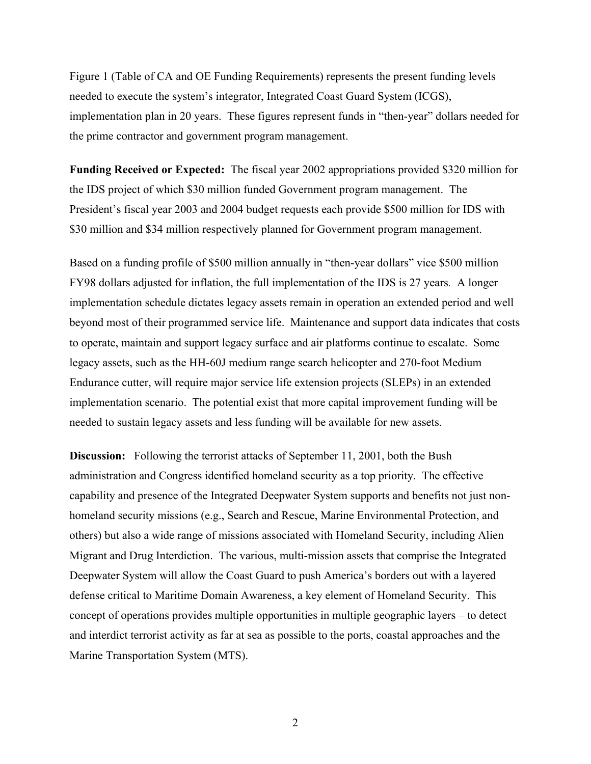Figure 1 (Table of CA and OE Funding Requirements) represents the present funding levels needed to execute the system's integrator, Integrated Coast Guard System (ICGS), implementation plan in 20 years. These figures represent funds in "then-year" dollars needed for the prime contractor and government program management.

**Funding Received or Expected:** The fiscal year 2002 appropriations provided \$320 million for the IDS project of which \$30 million funded Government program management. The President's fiscal year 2003 and 2004 budget requests each provide \$500 million for IDS with \$30 million and \$34 million respectively planned for Government program management.

Based on a funding profile of \$500 million annually in "then-year dollars" vice \$500 million FY98 dollars adjusted for inflation, the full implementation of the IDS is 27 years*.* A longer implementation schedule dictates legacy assets remain in operation an extended period and well beyond most of their programmed service life. Maintenance and support data indicates that costs to operate, maintain and support legacy surface and air platforms continue to escalate. Some legacy assets, such as the HH-60J medium range search helicopter and 270-foot Medium Endurance cutter, will require major service life extension projects (SLEPs) in an extended implementation scenario. The potential exist that more capital improvement funding will be needed to sustain legacy assets and less funding will be available for new assets.

**Discussion:** Following the terrorist attacks of September 11, 2001, both the Bush administration and Congress identified homeland security as a top priority. The effective capability and presence of the Integrated Deepwater System supports and benefits not just nonhomeland security missions (e.g., Search and Rescue, Marine Environmental Protection, and others) but also a wide range of missions associated with Homeland Security, including Alien Migrant and Drug Interdiction. The various, multi-mission assets that comprise the Integrated Deepwater System will allow the Coast Guard to push America's borders out with a layered defense critical to Maritime Domain Awareness, a key element of Homeland Security. This concept of operations provides multiple opportunities in multiple geographic layers – to detect and interdict terrorist activity as far at sea as possible to the ports, coastal approaches and the Marine Transportation System (MTS).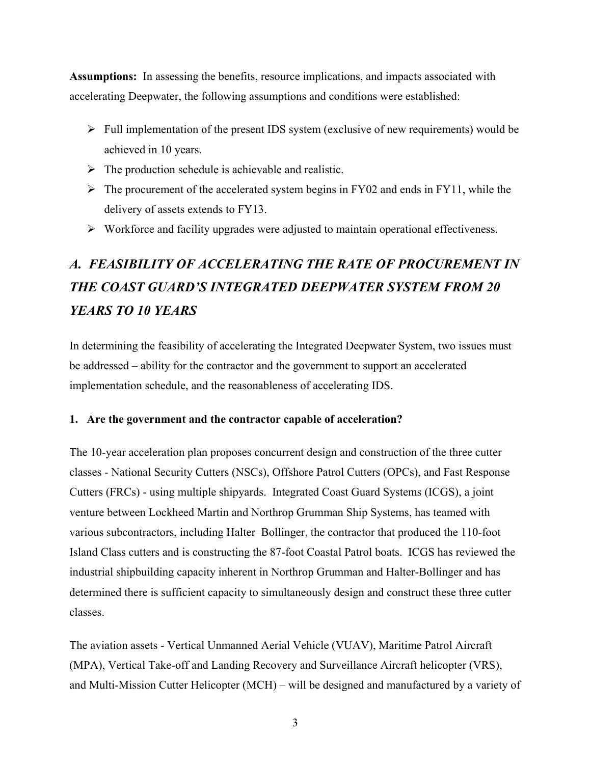**Assumptions:** In assessing the benefits, resource implications, and impacts associated with accelerating Deepwater, the following assumptions and conditions were established:

- $\triangleright$  Full implementation of the present IDS system (exclusive of new requirements) would be achieved in 10 years.
- $\triangleright$  The production schedule is achievable and realistic.
- $\triangleright$  The procurement of the accelerated system begins in FY02 and ends in FY11, while the delivery of assets extends to FY13.
- $\triangleright$  Workforce and facility upgrades were adjusted to maintain operational effectiveness.

# *A. FEASIBILITY OF ACCELERATING THE RATE OF PROCUREMENT IN THE COAST GUARD'S INTEGRATED DEEPWATER SYSTEM FROM 20 YEARS TO 10 YEARS*

In determining the feasibility of accelerating the Integrated Deepwater System, two issues must be addressed – ability for the contractor and the government to support an accelerated implementation schedule, and the reasonableness of accelerating IDS.

#### **1. Are the government and the contractor capable of acceleration?**

The 10-year acceleration plan proposes concurrent design and construction of the three cutter classes - National Security Cutters (NSCs), Offshore Patrol Cutters (OPCs), and Fast Response Cutters (FRCs) - using multiple shipyards. Integrated Coast Guard Systems (ICGS), a joint venture between Lockheed Martin and Northrop Grumman Ship Systems, has teamed with various subcontractors, including Halter–Bollinger, the contractor that produced the 110-foot Island Class cutters and is constructing the 87-foot Coastal Patrol boats. ICGS has reviewed the industrial shipbuilding capacity inherent in Northrop Grumman and Halter-Bollinger and has determined there is sufficient capacity to simultaneously design and construct these three cutter classes.

The aviation assets - Vertical Unmanned Aerial Vehicle (VUAV), Maritime Patrol Aircraft (MPA), Vertical Take-off and Landing Recovery and Surveillance Aircraft helicopter (VRS), and Multi-Mission Cutter Helicopter (MCH) – will be designed and manufactured by a variety of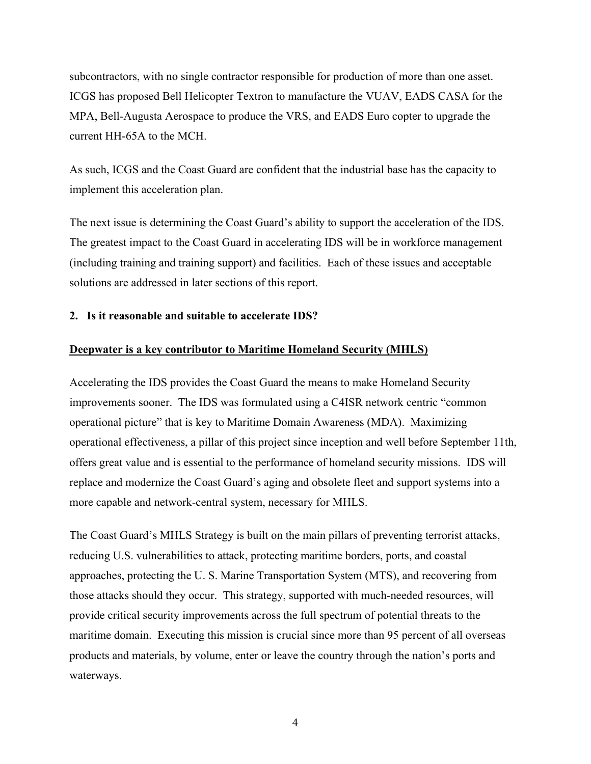subcontractors, with no single contractor responsible for production of more than one asset. ICGS has proposed Bell Helicopter Textron to manufacture the VUAV, EADS CASA for the MPA, Bell-Augusta Aerospace to produce the VRS, and EADS Euro copter to upgrade the current HH-65A to the MCH.

As such, ICGS and the Coast Guard are confident that the industrial base has the capacity to implement this acceleration plan.

The next issue is determining the Coast Guard's ability to support the acceleration of the IDS. The greatest impact to the Coast Guard in accelerating IDS will be in workforce management (including training and training support) and facilities. Each of these issues and acceptable solutions are addressed in later sections of this report.

**2. Is it reasonable and suitable to accelerate IDS?** 

### **Deepwater is a key contributor to Maritime Homeland Security (MHLS)**

Accelerating the IDS provides the Coast Guard the means to make Homeland Security improvements sooner. The IDS was formulated using a C4ISR network centric "common operational picture" that is key to Maritime Domain Awareness (MDA). Maximizing operational effectiveness, a pillar of this project since inception and well before September 11th, offers great value and is essential to the performance of homeland security missions. IDS will replace and modernize the Coast Guard's aging and obsolete fleet and support systems into a more capable and network-central system, necessary for MHLS.

The Coast Guard's MHLS Strategy is built on the main pillars of preventing terrorist attacks, reducing U.S. vulnerabilities to attack, protecting maritime borders, ports, and coastal approaches, protecting the U. S. Marine Transportation System (MTS), and recovering from those attacks should they occur. This strategy, supported with much-needed resources, will provide critical security improvements across the full spectrum of potential threats to the maritime domain. Executing this mission is crucial since more than 95 percent of all overseas products and materials, by volume, enter or leave the country through the nation's ports and waterways.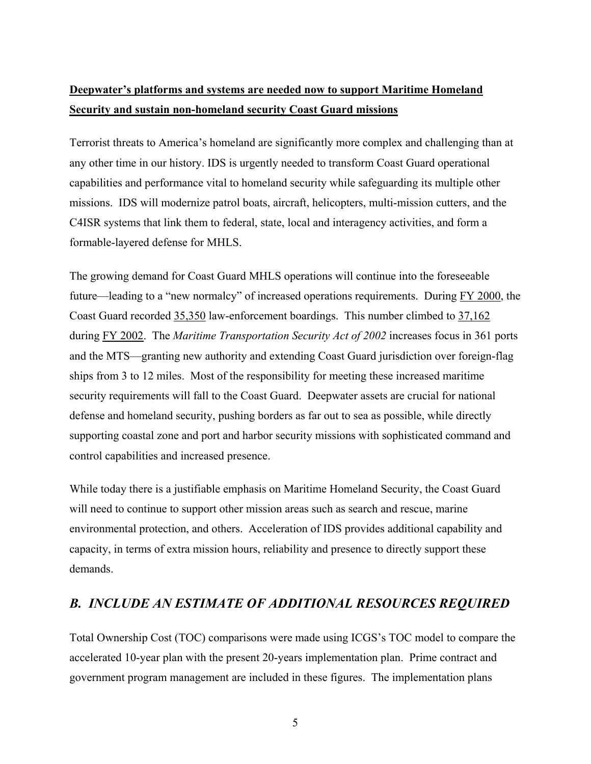# **Deepwater's platforms and systems are needed now to support Maritime Homeland Security and sustain non-homeland security Coast Guard missions**

Terrorist threats to America's homeland are significantly more complex and challenging than at any other time in our history. IDS is urgently needed to transform Coast Guard operational capabilities and performance vital to homeland security while safeguarding its multiple other missions. IDS will modernize patrol boats, aircraft, helicopters, multi-mission cutters, and the C4ISR systems that link them to federal, state, local and interagency activities, and form a formable-layered defense for MHLS.

The growing demand for Coast Guard MHLS operations will continue into the foreseeable future—leading to a "new normalcy" of increased operations requirements. During FY 2000, the Coast Guard recorded 35,350 law-enforcement boardings. This number climbed to 37,162 during FY 2002. The *Maritime Transportation Security Act of 2002* increases focus in 361 ports and the MTS—granting new authority and extending Coast Guard jurisdiction over foreign-flag ships from 3 to 12 miles. Most of the responsibility for meeting these increased maritime security requirements will fall to the Coast Guard. Deepwater assets are crucial for national defense and homeland security, pushing borders as far out to sea as possible, while directly supporting coastal zone and port and harbor security missions with sophisticated command and control capabilities and increased presence.

While today there is a justifiable emphasis on Maritime Homeland Security, the Coast Guard will need to continue to support other mission areas such as search and rescue, marine environmental protection, and others. Acceleration of IDS provides additional capability and capacity, in terms of extra mission hours, reliability and presence to directly support these demands.

## *B. INCLUDE AN ESTIMATE OF ADDITIONAL RESOURCES REQUIRED*

Total Ownership Cost (TOC) comparisons were made using ICGS's TOC model to compare the accelerated 10-year plan with the present 20-years implementation plan. Prime contract and government program management are included in these figures. The implementation plans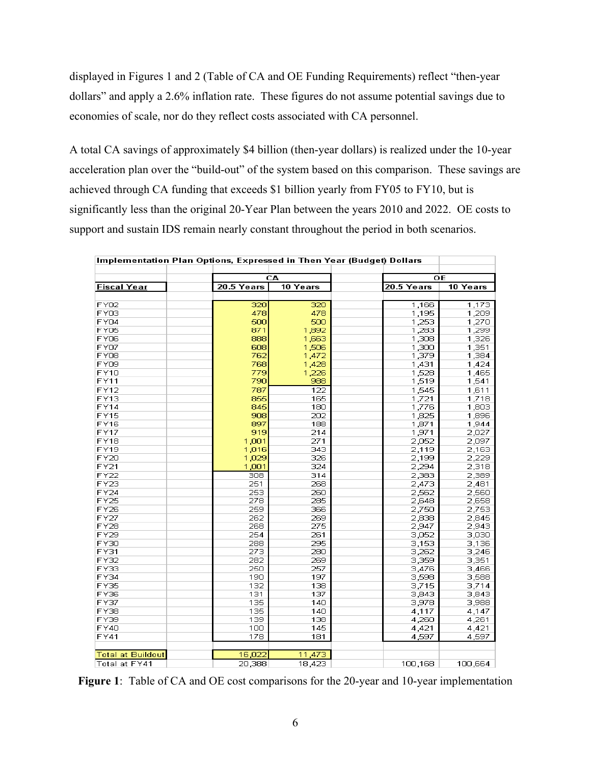displayed in Figures 1 and 2 (Table of CA and OE Funding Requirements) reflect "then-year dollars" and apply a 2.6% inflation rate. These figures do not assume potential savings due to economies of scale, nor do they reflect costs associated with CA personnel.

A total CA savings of approximately \$4 billion (then-year dollars) is realized under the 10-year acceleration plan over the "build-out" of the system based on this comparison. These savings are achieved through CA funding that exceeds \$1 billion yearly from FY05 to FY10, but is significantly less than the original 20-Year Plan between the years 2010 and 2022. OE costs to support and sustain IDS remain nearly constant throughout the period in both scenarios.

| Implementation Plan Options, Expressed in Then Year (Budget) Dollars |            |          |            |          |  |  |  |  |  |  |
|----------------------------------------------------------------------|------------|----------|------------|----------|--|--|--|--|--|--|
|                                                                      |            | CA       | ОE         |          |  |  |  |  |  |  |
| <b>Fiscal Year</b>                                                   | 20.5 Years | 10 Years | 20.5 Years | 10 Years |  |  |  |  |  |  |
|                                                                      |            |          |            |          |  |  |  |  |  |  |
| FY02                                                                 | 320        | 320      | 1,166      | 1,173    |  |  |  |  |  |  |
| FY03                                                                 | 478        | 478      | 1,195      | 1,209    |  |  |  |  |  |  |
| FY04                                                                 | 500        | 500      | 1,253      | 1,270    |  |  |  |  |  |  |
| FY05                                                                 | 871        | 1,892    | 1,283      | 1,299    |  |  |  |  |  |  |
| FY06                                                                 | 888        | 1,663    | 1,308      | 1,326    |  |  |  |  |  |  |
| FY07                                                                 | 608        | 1,506    | 1,300      | 1,351    |  |  |  |  |  |  |
| FY08                                                                 | 762        | 1,472    | 1,379      | 1,384    |  |  |  |  |  |  |
| FY09                                                                 | 768        | 1,428    | 1,431      | 1,424    |  |  |  |  |  |  |
| <b>FY10</b>                                                          | 779        | 1,226    | 1,528      | 1,465    |  |  |  |  |  |  |
| <b>FY11</b>                                                          | 790        | 988      | 1,519      | 1,541    |  |  |  |  |  |  |
| FY12                                                                 | 787        | 122      | 1,545      | 1,611    |  |  |  |  |  |  |
| FY13                                                                 | 855        | 165      | 1.721      | 1,718    |  |  |  |  |  |  |
| FY14                                                                 | 845        | 180      | 1,776      | 1,803    |  |  |  |  |  |  |
| FY15                                                                 | 908        | 202      | 1,825      | 1,896    |  |  |  |  |  |  |
| <b>FY16</b>                                                          | 897        | 188      | 1,871      | 1,944    |  |  |  |  |  |  |
| <b>FY17</b>                                                          | 919        | 214      | 1,971      | 2,027    |  |  |  |  |  |  |
| <b>FY18</b>                                                          | 1,001      | 271      | 2,052      | 2,097    |  |  |  |  |  |  |
| <b>FY19</b>                                                          | 1,016      | 343      | 2,119      | 2,163    |  |  |  |  |  |  |
| <b>FY20</b>                                                          | 1,029      | 326      | 2,199      | 2,229    |  |  |  |  |  |  |
| <b>FY21</b>                                                          | 1,001      | 324      | 2,294      | 2,318    |  |  |  |  |  |  |
| <b>FY22</b>                                                          | 308        | 314      | 2,383      | 2,389    |  |  |  |  |  |  |
| FY23                                                                 | 251        | 268      | 2,473      | 2,481    |  |  |  |  |  |  |
| <b>FY24</b>                                                          | 253        | 260      | 2,562      | 2,560    |  |  |  |  |  |  |
| <b>FY25</b>                                                          | 278        | 285      | 2,648      | 2,658    |  |  |  |  |  |  |
| <b>FY26</b>                                                          | 259        | 366      | 2,750      | 2,753    |  |  |  |  |  |  |
| FY27                                                                 | 262        | 269      | 2,838      | 2,845    |  |  |  |  |  |  |
| <b>FY28</b>                                                          | 268        | 275      | 2,947      | 2,943    |  |  |  |  |  |  |
| FY29                                                                 | 254        | 261      | 3,052      | 3,030    |  |  |  |  |  |  |
| FY30                                                                 | 288        | 295      | 3,153      | 3,136    |  |  |  |  |  |  |
| FY31                                                                 | 273        | 280      | 3,262      | 3,246    |  |  |  |  |  |  |
| FY32                                                                 | 282        | 269      | 3,359      | 3,351    |  |  |  |  |  |  |
| FY33                                                                 | 250        | 257      | 3,476      | 3,466    |  |  |  |  |  |  |
| FY34                                                                 | 190        | 197      | 3,598      | 3,588    |  |  |  |  |  |  |
| FY35                                                                 | 132        | 138      | 3,715      | 3,714    |  |  |  |  |  |  |
| FY36                                                                 | 131        | 137      | 3,843      | 3,843    |  |  |  |  |  |  |
| FY37                                                                 | 135        | 140      | 3,978      | 3,988    |  |  |  |  |  |  |
| FY38                                                                 | 135        | 140      | 4,117      | 4,147    |  |  |  |  |  |  |
| FY39                                                                 | 139        | 138      | 4,260      | 4,261    |  |  |  |  |  |  |
| FY40                                                                 | 100        | 145      | 4,421      | 4,421    |  |  |  |  |  |  |
| FY41                                                                 | 178        | 181      | 4,597      | 4,597    |  |  |  |  |  |  |
|                                                                      |            |          |            |          |  |  |  |  |  |  |
| <b>Total at Buildout</b>                                             | 16,022     | 11,473   |            |          |  |  |  |  |  |  |
| Total at FY41                                                        | 20,388     | 18,423   | 100,168    | 100,664  |  |  |  |  |  |  |

**Figure 1**: Table of CA and OE cost comparisons for the 20-year and 10-year implementation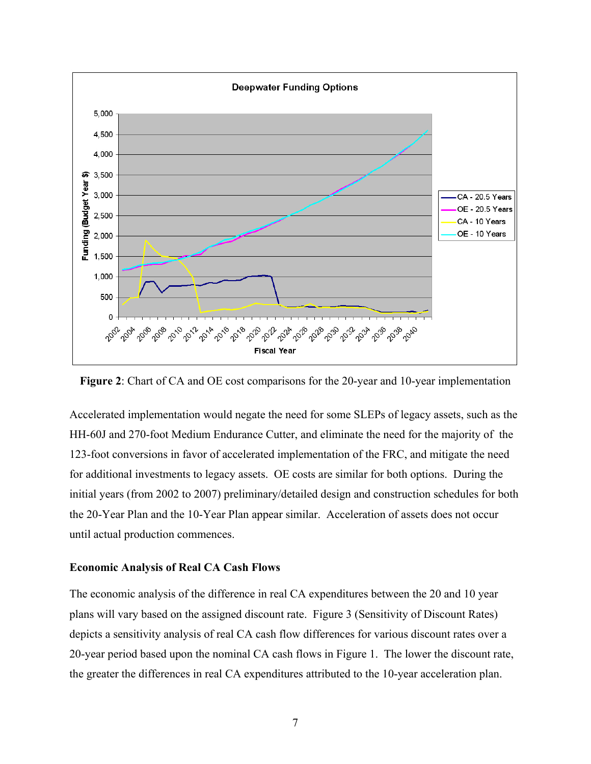

**Figure 2**: Chart of CA and OE cost comparisons for the 20-year and 10-year implementation

Accelerated implementation would negate the need for some SLEPs of legacy assets, such as the HH-60J and 270-foot Medium Endurance Cutter, and eliminate the need for the majority of the 123-foot conversions in favor of accelerated implementation of the FRC, and mitigate the need for additional investments to legacy assets. OE costs are similar for both options. During the initial years (from 2002 to 2007) preliminary/detailed design and construction schedules for both the 20-Year Plan and the 10-Year Plan appear similar. Acceleration of assets does not occur until actual production commences.

#### **Economic Analysis of Real CA Cash Flows**

The economic analysis of the difference in real CA expenditures between the 20 and 10 year plans will vary based on the assigned discount rate. Figure 3 (Sensitivity of Discount Rates) depicts a sensitivity analysis of real CA cash flow differences for various discount rates over a 20-year period based upon the nominal CA cash flows in Figure 1. The lower the discount rate, the greater the differences in real CA expenditures attributed to the 10-year acceleration plan.

<sup>7</sup>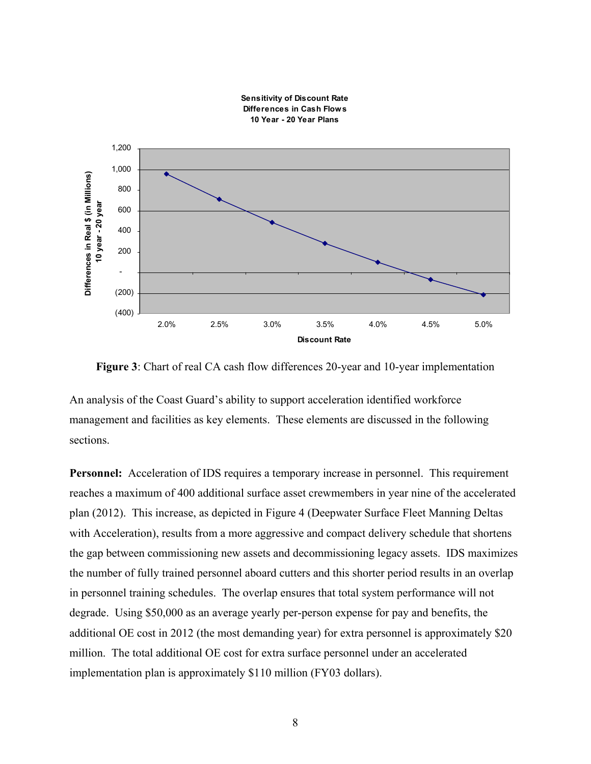

**Figure 3**: Chart of real CA cash flow differences 20-year and 10-year implementation

An analysis of the Coast Guard's ability to support acceleration identified workforce management and facilities as key elements. These elements are discussed in the following sections.

**Personnel:** Acceleration of IDS requires a temporary increase in personnel. This requirement reaches a maximum of 400 additional surface asset crewmembers in year nine of the accelerated plan (2012). This increase, as depicted in Figure 4 (Deepwater Surface Fleet Manning Deltas with Acceleration), results from a more aggressive and compact delivery schedule that shortens the gap between commissioning new assets and decommissioning legacy assets. IDS maximizes the number of fully trained personnel aboard cutters and this shorter period results in an overlap in personnel training schedules. The overlap ensures that total system performance will not degrade. Using \$50,000 as an average yearly per-person expense for pay and benefits, the additional OE cost in 2012 (the most demanding year) for extra personnel is approximately \$20 million. The total additional OE cost for extra surface personnel under an accelerated implementation plan is approximately \$110 million (FY03 dollars).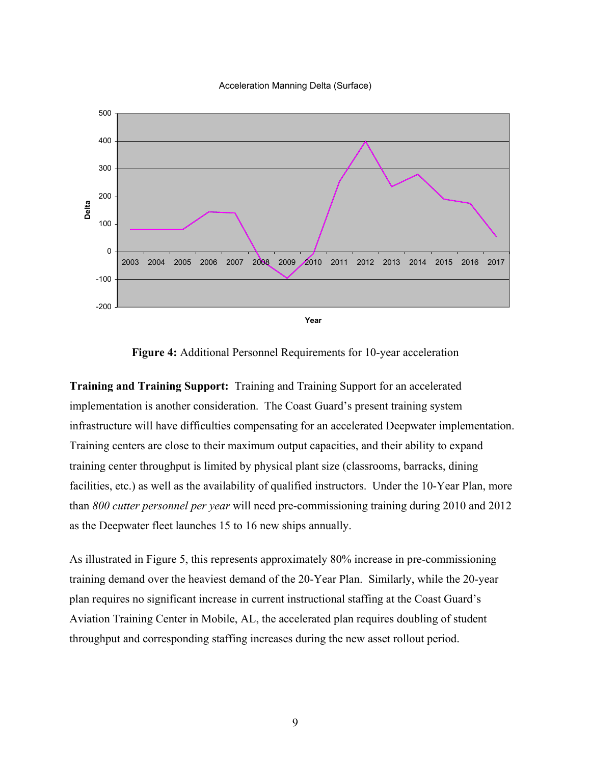



**Figure 4:** Additional Personnel Requirements for 10-year acceleration

**Training and Training Support:** Training and Training Support for an accelerated implementation is another consideration. The Coast Guard's present training system infrastructure will have difficulties compensating for an accelerated Deepwater implementation. Training centers are close to their maximum output capacities, and their ability to expand training center throughput is limited by physical plant size (classrooms, barracks, dining facilities, etc.) as well as the availability of qualified instructors. Under the 10-Year Plan, more than *800 cutter personnel per year* will need pre-commissioning training during 2010 and 2012 as the Deepwater fleet launches 15 to 16 new ships annually.

As illustrated in Figure 5, this represents approximately 80% increase in pre-commissioning training demand over the heaviest demand of the 20-Year Plan. Similarly, while the 20-year plan requires no significant increase in current instructional staffing at the Coast Guard's Aviation Training Center in Mobile, AL, the accelerated plan requires doubling of student throughput and corresponding staffing increases during the new asset rollout period.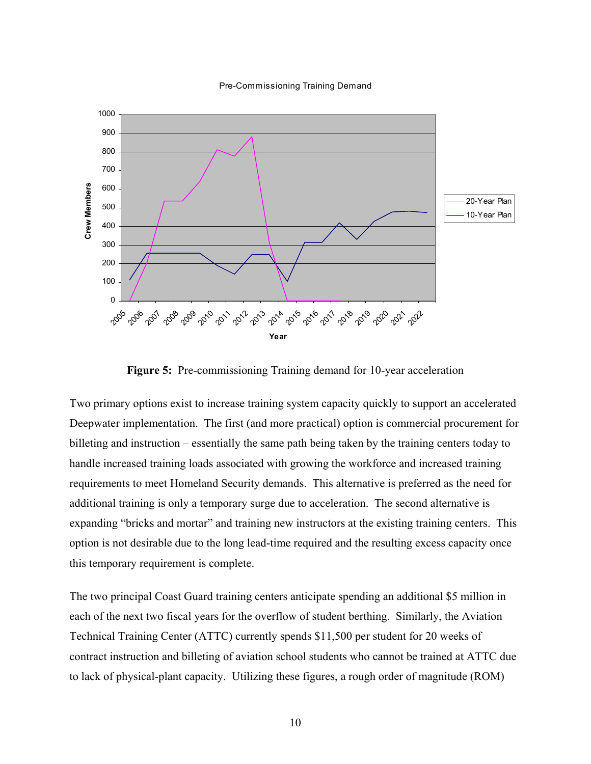

Pre-Commissioning Training Demand

**Figure 5:** Pre-commissioning Training demand for 10-year acceleration

Two primary options exist to increase training system capacity quickly to support an accelerated Deepwater implementation. The first (and more practical) option is commercial procurement for billeting and instruction – essentially the same path being taken by the training centers today to handle increased training loads associated with growing the workforce and increased training requirements to meet Homeland Security demands. This alternative is preferred as the need for additional training is only a temporary surge due to acceleration. The second alternative is expanding "bricks and mortar" and training new instructors at the existing training centers. This option is not desirable due to the long lead-time required and the resulting excess capacity once this temporary requirement is complete.

The two principal Coast Guard training centers anticipate spending an additional \$5 million in each of the next two fiscal years for the overflow of student berthing. Similarly, the Aviation Technical Training Center (ATTC) currently spends \$11,500 per student for 20 weeks of contract instruction and billeting of aviation school students who cannot be trained at ATTC due to lack of physical-plant capacity. Utilizing these figures, a rough order of magnitude (ROM)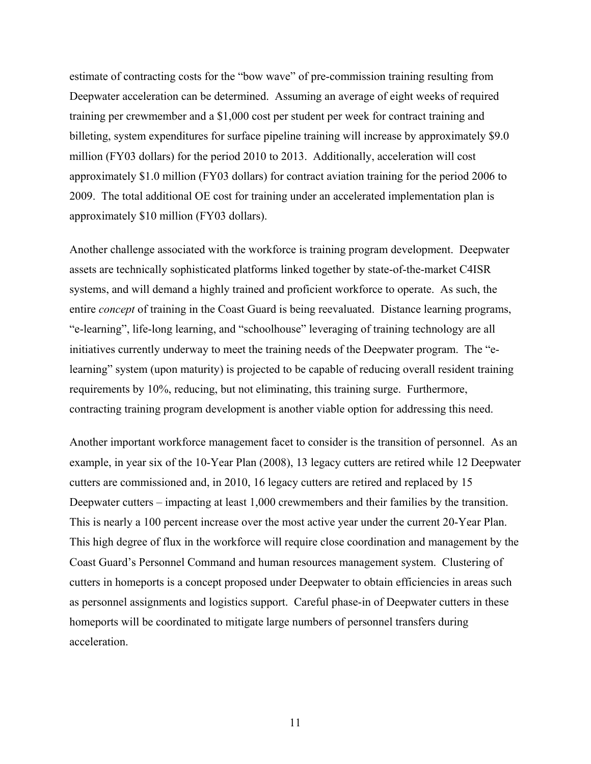estimate of contracting costs for the "bow wave" of pre-commission training resulting from Deepwater acceleration can be determined. Assuming an average of eight weeks of required training per crewmember and a \$1,000 cost per student per week for contract training and billeting, system expenditures for surface pipeline training will increase by approximately \$9.0 million (FY03 dollars) for the period 2010 to 2013. Additionally, acceleration will cost approximately \$1.0 million (FY03 dollars) for contract aviation training for the period 2006 to 2009. The total additional OE cost for training under an accelerated implementation plan is approximately \$10 million (FY03 dollars).

Another challenge associated with the workforce is training program development. Deepwater assets are technically sophisticated platforms linked together by state-of-the-market C4ISR systems, and will demand a highly trained and proficient workforce to operate. As such, the entire *concept* of training in the Coast Guard is being reevaluated. Distance learning programs, "e-learning", life-long learning, and "schoolhouse" leveraging of training technology are all initiatives currently underway to meet the training needs of the Deepwater program. The "elearning" system (upon maturity) is projected to be capable of reducing overall resident training requirements by 10%, reducing, but not eliminating, this training surge. Furthermore, contracting training program development is another viable option for addressing this need.

Another important workforce management facet to consider is the transition of personnel. As an example, in year six of the 10-Year Plan (2008), 13 legacy cutters are retired while 12 Deepwater cutters are commissioned and, in 2010, 16 legacy cutters are retired and replaced by 15 Deepwater cutters – impacting at least 1,000 crewmembers and their families by the transition. This is nearly a 100 percent increase over the most active year under the current 20-Year Plan. This high degree of flux in the workforce will require close coordination and management by the Coast Guard's Personnel Command and human resources management system. Clustering of cutters in homeports is a concept proposed under Deepwater to obtain efficiencies in areas such as personnel assignments and logistics support. Careful phase-in of Deepwater cutters in these homeports will be coordinated to mitigate large numbers of personnel transfers during acceleration.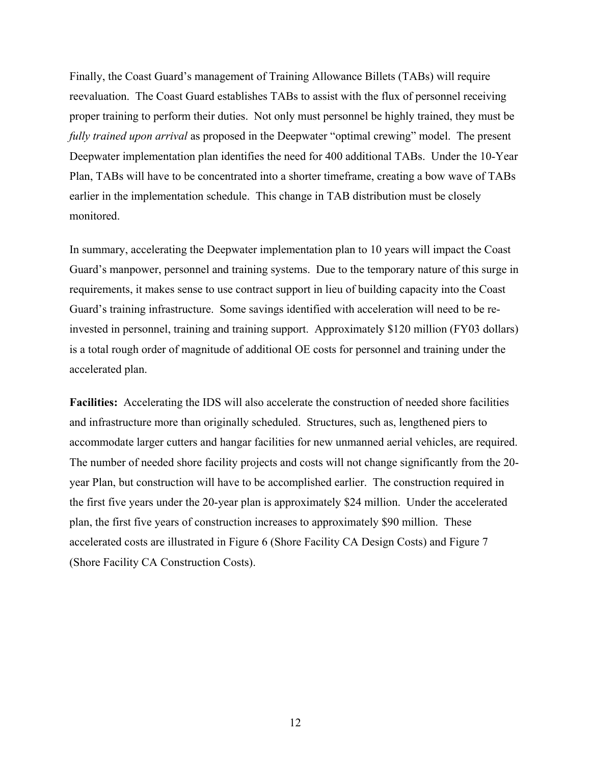Finally, the Coast Guard's management of Training Allowance Billets (TABs) will require reevaluation. The Coast Guard establishes TABs to assist with the flux of personnel receiving proper training to perform their duties. Not only must personnel be highly trained, they must be *fully trained upon arrival* as proposed in the Deepwater "optimal crewing" model. The present Deepwater implementation plan identifies the need for 400 additional TABs. Under the 10-Year Plan, TABs will have to be concentrated into a shorter timeframe, creating a bow wave of TABs earlier in the implementation schedule. This change in TAB distribution must be closely monitored.

In summary, accelerating the Deepwater implementation plan to 10 years will impact the Coast Guard's manpower, personnel and training systems. Due to the temporary nature of this surge in requirements, it makes sense to use contract support in lieu of building capacity into the Coast Guard's training infrastructure. Some savings identified with acceleration will need to be reinvested in personnel, training and training support. Approximately \$120 million (FY03 dollars) is a total rough order of magnitude of additional OE costs for personnel and training under the accelerated plan.

**Facilities:** Accelerating the IDS will also accelerate the construction of needed shore facilities and infrastructure more than originally scheduled. Structures, such as, lengthened piers to accommodate larger cutters and hangar facilities for new unmanned aerial vehicles, are required. The number of needed shore facility projects and costs will not change significantly from the 20 year Plan, but construction will have to be accomplished earlier. The construction required in the first five years under the 20-year plan is approximately \$24 million. Under the accelerated plan, the first five years of construction increases to approximately \$90 million. These accelerated costs are illustrated in Figure 6 (Shore Facility CA Design Costs) and Figure 7 (Shore Facility CA Construction Costs).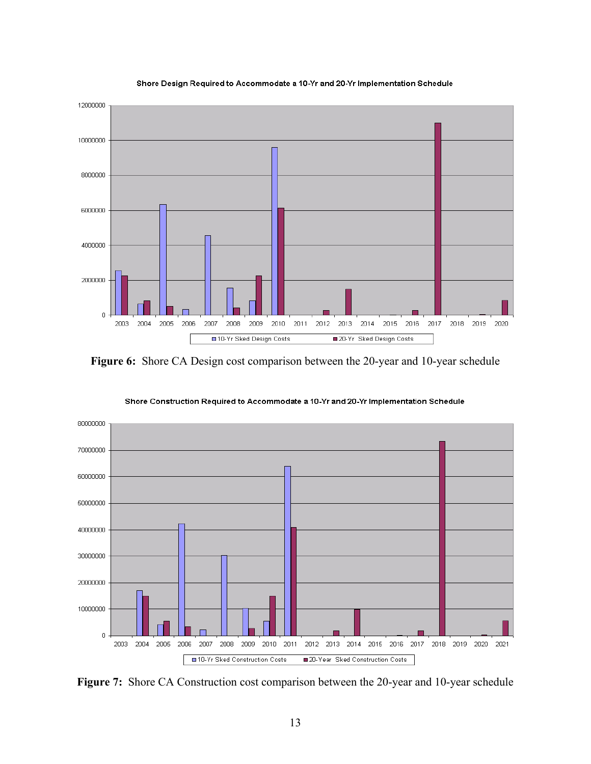

#### Shore Design Required to Accommodate a 10-Yr and 20-Yr Implementation Schedule

**Figure 6:** Shore CA Design cost comparison between the 20-year and 10-year schedule



Shore Construction Required to Accommodate a 10-Yr and 20-Yr Implementation Schedule

**Figure 7:** Shore CA Construction cost comparison between the 20-year and 10-year schedule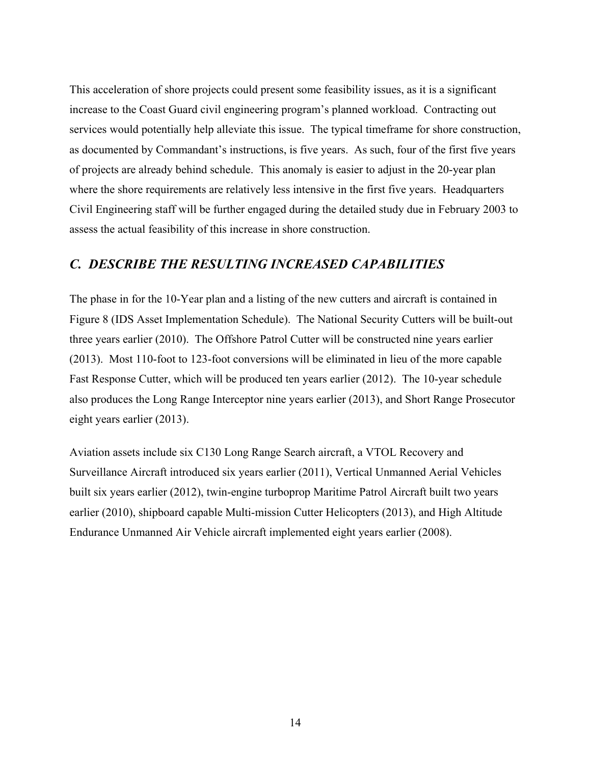This acceleration of shore projects could present some feasibility issues, as it is a significant increase to the Coast Guard civil engineering program's planned workload. Contracting out services would potentially help alleviate this issue. The typical timeframe for shore construction, as documented by Commandant's instructions, is five years. As such, four of the first five years of projects are already behind schedule. This anomaly is easier to adjust in the 20-year plan where the shore requirements are relatively less intensive in the first five years. Headquarters Civil Engineering staff will be further engaged during the detailed study due in February 2003 to assess the actual feasibility of this increase in shore construction.

### *C. DESCRIBE THE RESULTING INCREASED CAPABILITIES*

The phase in for the 10-Year plan and a listing of the new cutters and aircraft is contained in Figure 8 (IDS Asset Implementation Schedule). The National Security Cutters will be built-out three years earlier (2010). The Offshore Patrol Cutter will be constructed nine years earlier (2013). Most 110-foot to 123-foot conversions will be eliminated in lieu of the more capable Fast Response Cutter, which will be produced ten years earlier (2012). The 10-year schedule also produces the Long Range Interceptor nine years earlier (2013), and Short Range Prosecutor eight years earlier (2013).

Aviation assets include six C130 Long Range Search aircraft, a VTOL Recovery and Surveillance Aircraft introduced six years earlier (2011), Vertical Unmanned Aerial Vehicles built six years earlier (2012), twin-engine turboprop Maritime Patrol Aircraft built two years earlier (2010), shipboard capable Multi-mission Cutter Helicopters (2013), and High Altitude Endurance Unmanned Air Vehicle aircraft implemented eight years earlier (2008).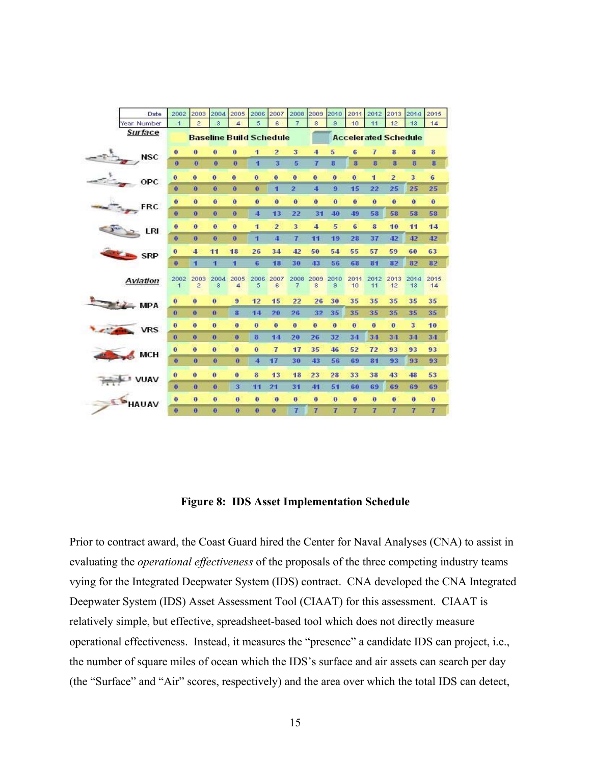|   | Date               | 2002                                                          | 2003                   | 2004         | 2005           | 2006                    | 2007                 | 2008           | 2009         | 2010           | 2011                 | 2012                | 2013           | 2014                    | 2015           |
|---|--------------------|---------------------------------------------------------------|------------------------|--------------|----------------|-------------------------|----------------------|----------------|--------------|----------------|----------------------|---------------------|----------------|-------------------------|----------------|
|   | Year Number        | $\overline{1}$                                                | $\overline{c}$         | 3            | $\overline{4}$ | 5                       | 6                    | 7.             | 8            | 3              | 10                   | 11                  | 12             | 13                      | 14             |
|   | Surface            | <b>Baseline Build Schedule</b><br><b>Accelerated Schedule</b> |                        |              |                |                         |                      |                |              |                |                      |                     |                |                         |                |
|   |                    | $\mathbf{0}$                                                  | $\bf{0}$               | $\bf{0}$     | $\bf{0}$       | 1                       | $\overline{2}$       | 3              | 4            | 5              | 6                    | 7                   | 8              | 8                       | $\bf{3}$       |
|   | NSC                | $\bf{0}$                                                      | $\mathbf{a}$           | $\mathbf{0}$ | $\mathbf{0}$   | п                       | 3                    | 5              | 7            | 8              | $\mathbf{a}$         | 8                   | 8              | $\bf{8}$                | 8              |
|   | OPC                | $\bf{0}$                                                      | $\mathbf{0}$           | $\mathbf{0}$ | $\mathbf{0}$   | $\bf{0}$                | $\bf{0}$             | 0              | $\bf{0}$     | $\theta$       | $\ddot{\phantom{1}}$ | 1                   | $\overline{2}$ | 3                       | 6              |
|   |                    | $\mathbf o$                                                   | $\ddot{\phantom{0}}$   | $\mathbf 0$  | $\bf{0}$       | $\bf{0}$                | 1                    | 2              | 4            | 9              | 15                   | 22                  | 25             | 25                      | 25             |
|   | <b>FRC</b>         | $\ddot{\mathbf{0}}$                                           | $\mathbf{0}$           | $\mathbf{0}$ | 0              | $\mathbf{0}$            | $\bf{0}$             | 0              | 0            | $\mathbf{0}$   | $\ddot{\mathbf{0}}$  | $\ddot{\mathbf{0}}$ | $\theta$       | $\ddot{\mathbf{0}}$     | $\bf{0}$       |
|   |                    | $\mathbf{0}$                                                  | $\mathbf{0}$           | $\mathbf{0}$ | $\bf{0}$       | 4                       | 13                   | 22             | 31           | 40             | 49                   | 58                  | 58             | 58                      | 58             |
|   | LRI                | $\mathbf{0}$                                                  | $\bf{0}$               | $\mathbf{0}$ | $\mathbf{0}$   | 1                       | $\overline{2}$       | 3              | 4            | 5              | 6                    | $\mathbf{a}$        | 10             | 11                      | 14             |
|   |                    | $\bf{0}$                                                      | $\mathbf{0}$           | $\bf{0}$     | $\bf\ddot{o}$  | п                       | 4                    | 7              | 11           | 19             | 28                   | 37                  | 42             | 42                      | 42             |
|   | <b>SRP</b>         | $\theta$                                                      | 4                      | 11           | 18             | 26                      | 34                   | 42             | 50           | 54             | 55                   | 57                  | 59             | 60                      | 63             |
|   |                    | $\bf{o}$                                                      | 1                      | п            | п              | 6                       | 18                   | 30             | 43           | 56             | 68                   | 8 <sub>1</sub>      | 82             | 82                      | 82             |
|   | Aviation           | 2002<br>$\overline{1}$                                        | 2003<br>$\overline{2}$ | 2004<br>з    | 2005<br>4      | 2006<br>5               | 2007<br>6            | 2008 2009<br>7 | 8            | 2010<br>9      | 2011<br>10           | 2012<br>11          | 2013<br>12     | 2014<br>13              | 2015<br>14     |
|   | $\rightarrow$ MPA  | $\ddot{\mathbf{0}}$                                           | $\ddot{\mathbf{0}}$    | $\bf{0}$     | 9              | 12                      | 15                   | 22             | 26           | 30             | 35                   | 35                  | 35             | 35                      | 35             |
|   |                    | $\mathbf 0$                                                   | $\bf{0}$               | $\bf{0}$     | 8              | 14                      | 20                   | 26             | 32           | 35             | 35                   | 35                  | 35             | 35                      | 35             |
|   | <b>VRS</b>         | $\bf{0}$                                                      | $\Omega$               | $\mathbf{0}$ | $\mathbf{0}$   | $\mathbf{0}$            | $\ddot{\phantom{1}}$ | $\mathbf{0}$   | $\mathbf{0}$ | $\bf{0}$       | $\mathbf{0}$         | $\bf{0}$            | $\mathbf{0}$   | $\overline{\mathbf{3}}$ | 10             |
|   |                    | $\alpha$                                                      | $\mathbf{0}$           | $\bf{0}$     | $\bf{0}$       | 8                       | 14                   | 20             | 26           | 32             | 34                   | 34                  | 34             | 3 <sub>4</sub>          | 34             |
|   | <b>MCH</b>         | $\mathbf{0}$                                                  | $\ddot{\mathbf{0}}$    | $\mathbf{0}$ | $\mathbf{0}$   | $\bf{0}$                | $\overline{I}$       | 17             | 35           | 46             | 52                   | 72                  | 93             | 93                      | 93             |
|   |                    | $\bf{0}$                                                      | $\ddot{\mathbf{0}}$    | $\mathbf{0}$ | $\theta$       | $\overline{\mathbf{4}}$ | 17                   | 30             | 43           | 56             | 69                   | 8 <sub>1</sub>      | 93             | 93                      | 93             |
|   | <b>LI VUAV</b>     | $\mathbf{a}$                                                  | $\mathbf{0}$           | $\theta$     | $\bf{0}$       | 8                       | 13                   | 18             | 23           | 28             | 33                   | 38                  | 43             | 48                      | 53             |
|   |                    | $\mathbf{0}$                                                  | $\bf{0}$               | $\bf{0}$     | 3              | 11                      | 21                   | 31             | 41           | 51             | 60                   | 69                  | 69             | 69                      | 69             |
| € | ÷.<br><b>HAUAV</b> | $\theta$                                                      | $\mathbf{0}$           | $\mathbf{0}$ | $\mathbf{0}$   | $\mathbf{0}$            | $\bf{0}$             | $\mathbf{0}$   | Ō            | $\bf{0}$       | $\bf{0}$             | $\theta$            | $\bf{0}$       | $\mathbf{0}$            | $\mathbf{0}$   |
|   |                    | $\bf{0}$                                                      | $\bf{0}$               | $\bf{0}$     | O.             | O                       | $\bf{0}$             | 7              | 7            | $\overline{I}$ | $\overline{I}$       | 7                   | 7              | $\overline{1}$          | $\overline{t}$ |

#### **Figure 8: IDS Asset Implementation Schedule**

Prior to contract award, the Coast Guard hired the Center for Naval Analyses (CNA) to assist in evaluating the *operational effectiveness* of the proposals of the three competing industry teams vying for the Integrated Deepwater System (IDS) contract. CNA developed the CNA Integrated Deepwater System (IDS) Asset Assessment Tool (CIAAT) for this assessment. CIAAT is relatively simple, but effective, spreadsheet-based tool which does not directly measure operational effectiveness. Instead, it measures the "presence" a candidate IDS can project, i.e., the number of square miles of ocean which the IDS's surface and air assets can search per day (the "Surface" and "Air" scores, respectively) and the area over which the total IDS can detect,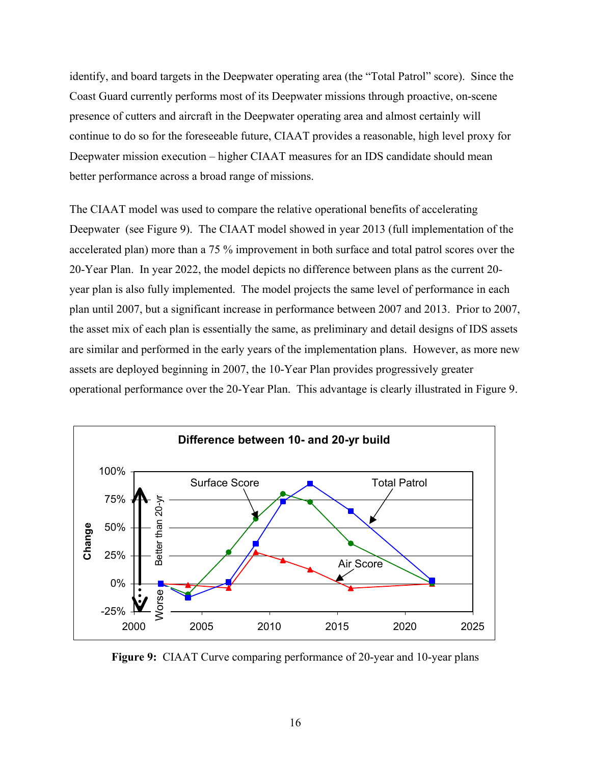identify, and board targets in the Deepwater operating area (the "Total Patrol" score). Since the Coast Guard currently performs most of its Deepwater missions through proactive, on-scene presence of cutters and aircraft in the Deepwater operating area and almost certainly will continue to do so for the foreseeable future, CIAAT provides a reasonable, high level proxy for Deepwater mission execution – higher CIAAT measures for an IDS candidate should mean better performance across a broad range of missions.

The CIAAT model was used to compare the relative operational benefits of accelerating Deepwater (see Figure 9). The CIAAT model showed in year 2013 (full implementation of the accelerated plan) more than a 75 % improvement in both surface and total patrol scores over the 20-Year Plan. In year 2022, the model depicts no difference between plans as the current 20 year plan is also fully implemented. The model projects the same level of performance in each plan until 2007, but a significant increase in performance between 2007 and 2013. Prior to 2007, the asset mix of each plan is essentially the same, as preliminary and detail designs of IDS assets are similar and performed in the early years of the implementation plans. However, as more new assets are deployed beginning in 2007, the 10-Year Plan provides progressively greater operational performance over the 20-Year Plan. This advantage is clearly illustrated in Figure 9.



**Figure 9:** CIAAT Curve comparing performance of 20-year and 10-year plans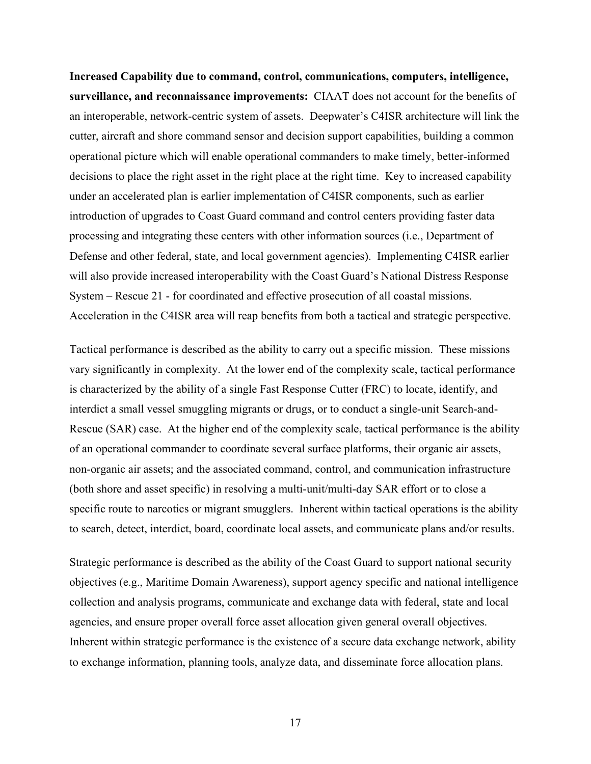**Increased Capability due to command, control, communications, computers, intelligence, surveillance, and reconnaissance improvements:** CIAAT does not account for the benefits of an interoperable, network-centric system of assets. Deepwater's C4ISR architecture will link the cutter, aircraft and shore command sensor and decision support capabilities, building a common operational picture which will enable operational commanders to make timely, better-informed decisions to place the right asset in the right place at the right time. Key to increased capability under an accelerated plan is earlier implementation of C4ISR components, such as earlier introduction of upgrades to Coast Guard command and control centers providing faster data processing and integrating these centers with other information sources (i.e., Department of Defense and other federal, state, and local government agencies). Implementing C4ISR earlier will also provide increased interoperability with the Coast Guard's National Distress Response System – Rescue 21 - for coordinated and effective prosecution of all coastal missions. Acceleration in the C4ISR area will reap benefits from both a tactical and strategic perspective.

Tactical performance is described as the ability to carry out a specific mission. These missions vary significantly in complexity. At the lower end of the complexity scale, tactical performance is characterized by the ability of a single Fast Response Cutter (FRC) to locate, identify, and interdict a small vessel smuggling migrants or drugs, or to conduct a single-unit Search-and-Rescue (SAR) case. At the higher end of the complexity scale, tactical performance is the ability of an operational commander to coordinate several surface platforms, their organic air assets, non-organic air assets; and the associated command, control, and communication infrastructure (both shore and asset specific) in resolving a multi-unit/multi-day SAR effort or to close a specific route to narcotics or migrant smugglers. Inherent within tactical operations is the ability to search, detect, interdict, board, coordinate local assets, and communicate plans and/or results.

Strategic performance is described as the ability of the Coast Guard to support national security objectives (e.g., Maritime Domain Awareness), support agency specific and national intelligence collection and analysis programs, communicate and exchange data with federal, state and local agencies, and ensure proper overall force asset allocation given general overall objectives. Inherent within strategic performance is the existence of a secure data exchange network, ability to exchange information, planning tools, analyze data, and disseminate force allocation plans.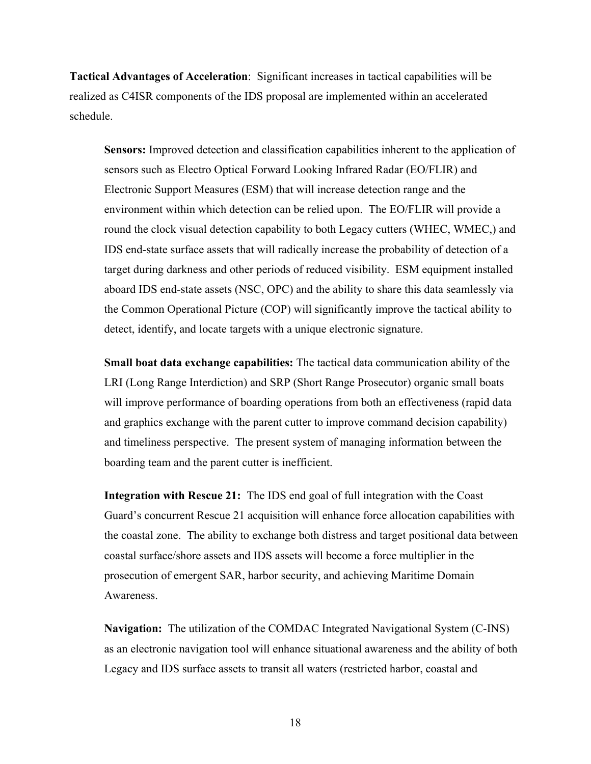**Tactical Advantages of Acceleration**: Significant increases in tactical capabilities will be realized as C4ISR components of the IDS proposal are implemented within an accelerated schedule.

**Sensors:** Improved detection and classification capabilities inherent to the application of sensors such as Electro Optical Forward Looking Infrared Radar (EO/FLIR) and Electronic Support Measures (ESM) that will increase detection range and the environment within which detection can be relied upon. The EO/FLIR will provide a round the clock visual detection capability to both Legacy cutters (WHEC, WMEC,) and IDS end-state surface assets that will radically increase the probability of detection of a target during darkness and other periods of reduced visibility. ESM equipment installed aboard IDS end-state assets (NSC, OPC) and the ability to share this data seamlessly via the Common Operational Picture (COP) will significantly improve the tactical ability to detect, identify, and locate targets with a unique electronic signature.

**Small boat data exchange capabilities:** The tactical data communication ability of the LRI (Long Range Interdiction) and SRP (Short Range Prosecutor) organic small boats will improve performance of boarding operations from both an effectiveness (rapid data and graphics exchange with the parent cutter to improve command decision capability) and timeliness perspective. The present system of managing information between the boarding team and the parent cutter is inefficient.

**Integration with Rescue 21:** The IDS end goal of full integration with the Coast Guard's concurrent Rescue 21 acquisition will enhance force allocation capabilities with the coastal zone. The ability to exchange both distress and target positional data between coastal surface/shore assets and IDS assets will become a force multiplier in the prosecution of emergent SAR, harbor security, and achieving Maritime Domain Awareness.

**Navigation:** The utilization of the COMDAC Integrated Navigational System (C-INS) as an electronic navigation tool will enhance situational awareness and the ability of both Legacy and IDS surface assets to transit all waters (restricted harbor, coastal and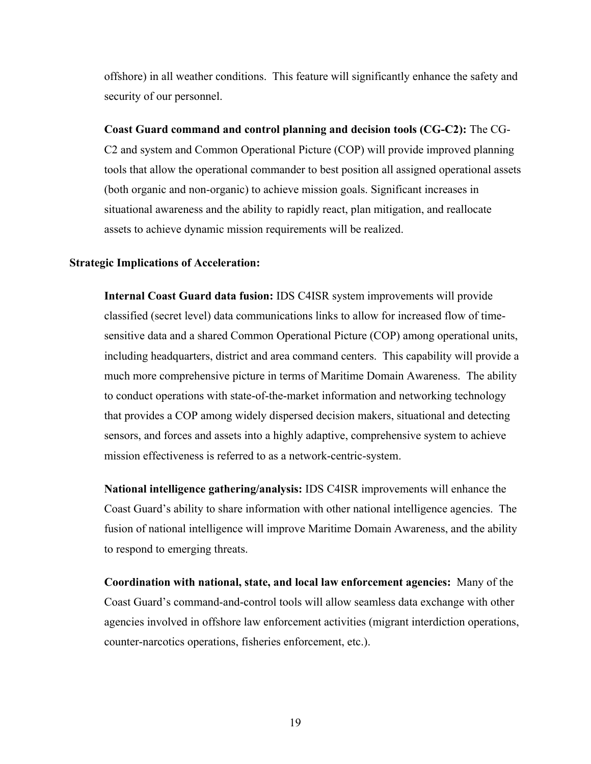offshore) in all weather conditions. This feature will significantly enhance the safety and security of our personnel.

**Coast Guard command and control planning and decision tools (CG-C2):** The CG-C2 and system and Common Operational Picture (COP) will provide improved planning tools that allow the operational commander to best position all assigned operational assets (both organic and non-organic) to achieve mission goals. Significant increases in situational awareness and the ability to rapidly react, plan mitigation, and reallocate assets to achieve dynamic mission requirements will be realized.

#### **Strategic Implications of Acceleration:**

**Internal Coast Guard data fusion:** IDS C4ISR system improvements will provide classified (secret level) data communications links to allow for increased flow of timesensitive data and a shared Common Operational Picture (COP) among operational units, including headquarters, district and area command centers. This capability will provide a much more comprehensive picture in terms of Maritime Domain Awareness. The ability to conduct operations with state-of-the-market information and networking technology that provides a COP among widely dispersed decision makers, situational and detecting sensors, and forces and assets into a highly adaptive, comprehensive system to achieve mission effectiveness is referred to as a network-centric-system.

**National intelligence gathering/analysis:** IDS C4ISR improvements will enhance the Coast Guard's ability to share information with other national intelligence agencies. The fusion of national intelligence will improve Maritime Domain Awareness, and the ability to respond to emerging threats.

**Coordination with national, state, and local law enforcement agencies:** Many of the Coast Guard's command-and-control tools will allow seamless data exchange with other agencies involved in offshore law enforcement activities (migrant interdiction operations, counter-narcotics operations, fisheries enforcement, etc.).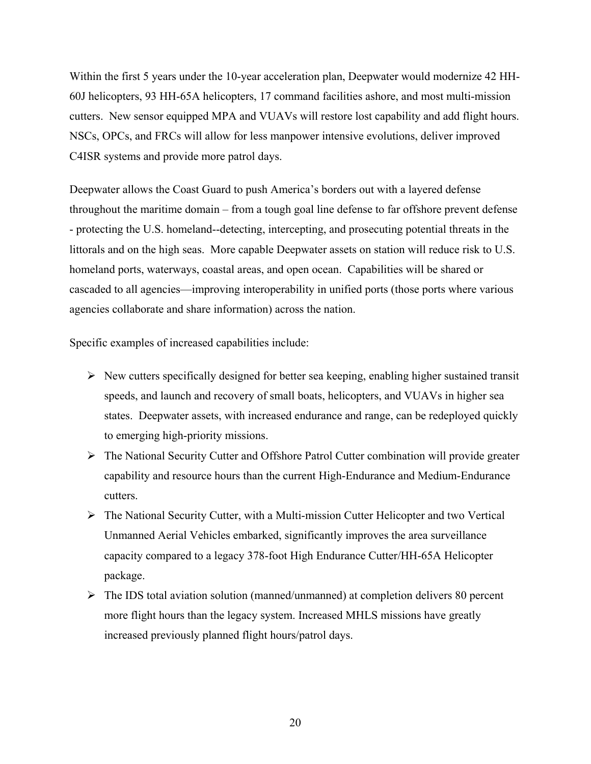Within the first 5 years under the 10-year acceleration plan, Deepwater would modernize 42 HH-60J helicopters, 93 HH-65A helicopters, 17 command facilities ashore, and most multi-mission cutters. New sensor equipped MPA and VUAVs will restore lost capability and add flight hours. NSCs, OPCs, and FRCs will allow for less manpower intensive evolutions, deliver improved C4ISR systems and provide more patrol days.

Deepwater allows the Coast Guard to push America's borders out with a layered defense throughout the maritime domain – from a tough goal line defense to far offshore prevent defense - protecting the U.S. homeland--detecting, intercepting, and prosecuting potential threats in the littorals and on the high seas. More capable Deepwater assets on station will reduce risk to U.S. homeland ports, waterways, coastal areas, and open ocean. Capabilities will be shared or cascaded to all agencies—improving interoperability in unified ports (those ports where various agencies collaborate and share information) across the nation.

Specific examples of increased capabilities include:

- $\triangleright$  New cutters specifically designed for better sea keeping, enabling higher sustained transit speeds, and launch and recovery of small boats, helicopters, and VUAVs in higher sea states. Deepwater assets, with increased endurance and range, can be redeployed quickly to emerging high-priority missions.
- ¾ The National Security Cutter and Offshore Patrol Cutter combination will provide greater capability and resource hours than the current High-Endurance and Medium-Endurance cutters.
- ¾ The National Security Cutter, with a Multi-mission Cutter Helicopter and two Vertical Unmanned Aerial Vehicles embarked, significantly improves the area surveillance capacity compared to a legacy 378-foot High Endurance Cutter/HH-65A Helicopter package.
- $\triangleright$  The IDS total aviation solution (manned/unmanned) at completion delivers 80 percent more flight hours than the legacy system. Increased MHLS missions have greatly increased previously planned flight hours/patrol days.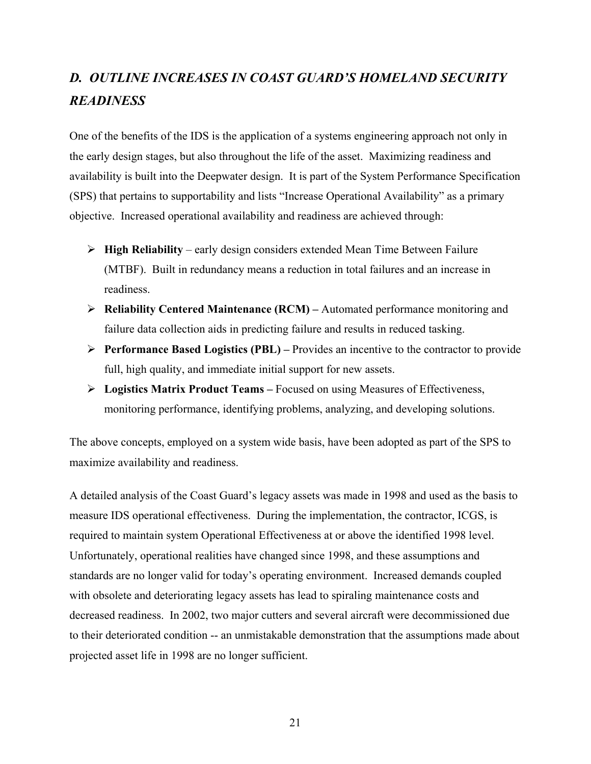# *D. OUTLINE INCREASES IN COAST GUARD'S HOMELAND SECURITY READINESS*

One of the benefits of the IDS is the application of a systems engineering approach not only in the early design stages, but also throughout the life of the asset. Maximizing readiness and availability is built into the Deepwater design. It is part of the System Performance Specification (SPS) that pertains to supportability and lists "Increase Operational Availability" as a primary objective. Increased operational availability and readiness are achieved through:

- ¾ **High Reliability** early design considers extended Mean Time Between Failure (MTBF). Built in redundancy means a reduction in total failures and an increase in readiness.
- ¾ **Reliability Centered Maintenance (RCM)** Automated performance monitoring and failure data collection aids in predicting failure and results in reduced tasking.
- ¾ **Performance Based Logistics (PBL)** Provides an incentive to the contractor to provide full, high quality, and immediate initial support for new assets.
- ¾ **Logistics Matrix Product Teams** Focused on using Measures of Effectiveness, monitoring performance, identifying problems, analyzing, and developing solutions.

The above concepts, employed on a system wide basis, have been adopted as part of the SPS to maximize availability and readiness.

A detailed analysis of the Coast Guard's legacy assets was made in 1998 and used as the basis to measure IDS operational effectiveness. During the implementation, the contractor, ICGS, is required to maintain system Operational Effectiveness at or above the identified 1998 level. Unfortunately, operational realities have changed since 1998, and these assumptions and standards are no longer valid for today's operating environment. Increased demands coupled with obsolete and deteriorating legacy assets has lead to spiraling maintenance costs and decreased readiness. In 2002, two major cutters and several aircraft were decommissioned due to their deteriorated condition -- an unmistakable demonstration that the assumptions made about projected asset life in 1998 are no longer sufficient.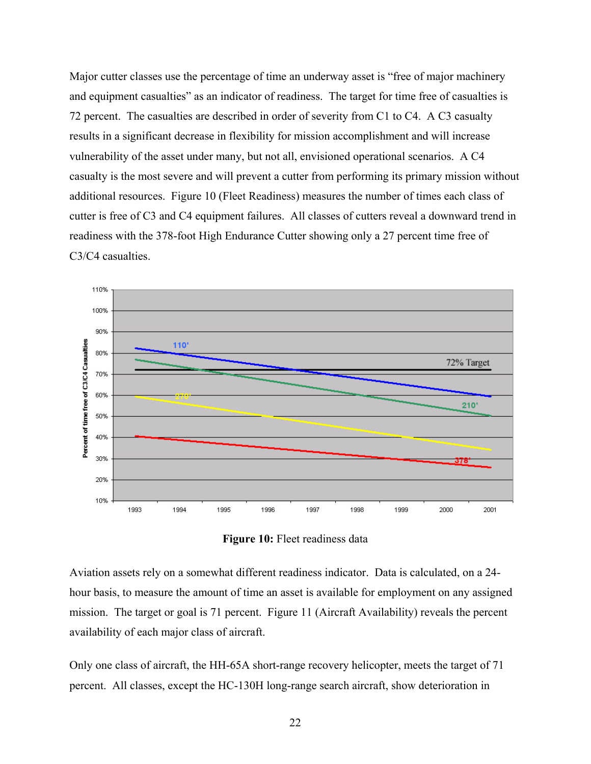Major cutter classes use the percentage of time an underway asset is "free of major machinery and equipment casualties" as an indicator of readiness. The target for time free of casualties is 72 percent. The casualties are described in order of severity from C1 to C4. A C3 casualty results in a significant decrease in flexibility for mission accomplishment and will increase vulnerability of the asset under many, but not all, envisioned operational scenarios. A C4 casualty is the most severe and will prevent a cutter from performing its primary mission without additional resources. Figure 10 (Fleet Readiness) measures the number of times each class of cutter is free of C3 and C4 equipment failures. All classes of cutters reveal a downward trend in readiness with the 378-foot High Endurance Cutter showing only a 27 percent time free of C3/C4 casualties.



**Figure 10:** Fleet readiness data

Aviation assets rely on a somewhat different readiness indicator. Data is calculated, on a 24 hour basis, to measure the amount of time an asset is available for employment on any assigned mission. The target or goal is 71 percent. Figure 11 (Aircraft Availability) reveals the percent availability of each major class of aircraft.

Only one class of aircraft, the HH-65A short-range recovery helicopter, meets the target of 71 percent. All classes, except the HC-130H long-range search aircraft, show deterioration in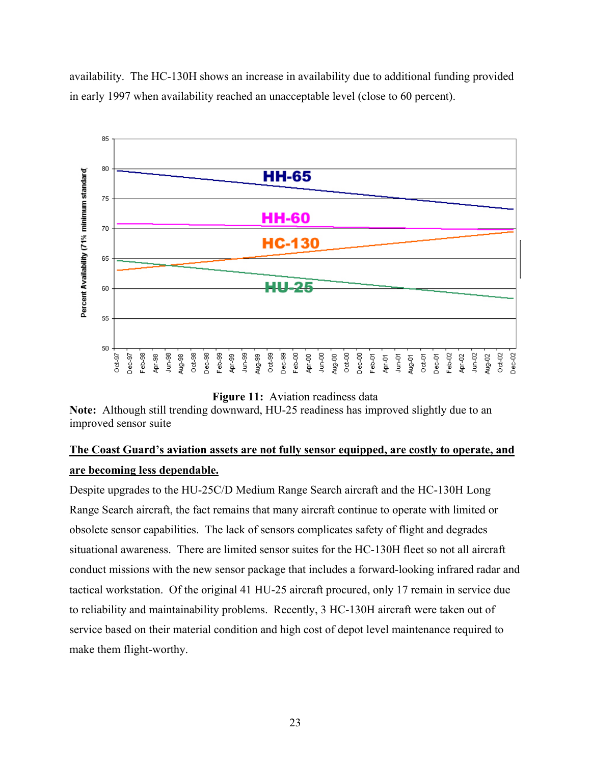availability. The HC-130H shows an increase in availability due to additional funding provided in early 1997 when availability reached an unacceptable level (close to 60 percent).



**Figure 11:** Aviation readiness data

**Note:** Although still trending downward, HU-25 readiness has improved slightly due to an improved sensor suite

## **The Coast Guard's aviation assets are not fully sensor equipped, are costly to operate, and are becoming less dependable.**

Despite upgrades to the HU-25C/D Medium Range Search aircraft and the HC-130H Long Range Search aircraft, the fact remains that many aircraft continue to operate with limited or obsolete sensor capabilities. The lack of sensors complicates safety of flight and degrades situational awareness. There are limited sensor suites for the HC-130H fleet so not all aircraft conduct missions with the new sensor package that includes a forward-looking infrared radar and tactical workstation. Of the original 41 HU-25 aircraft procured, only 17 remain in service due to reliability and maintainability problems. Recently, 3 HC-130H aircraft were taken out of service based on their material condition and high cost of depot level maintenance required to make them flight-worthy.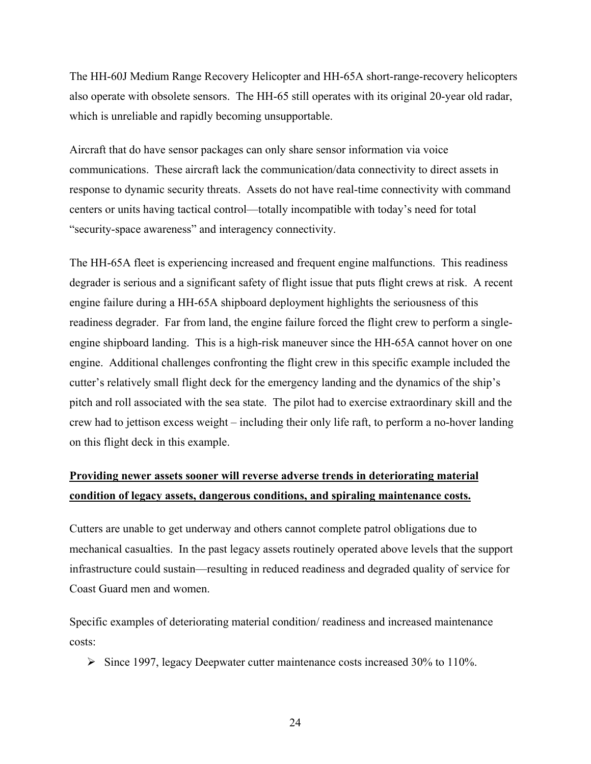The HH-60J Medium Range Recovery Helicopter and HH-65A short-range-recovery helicopters also operate with obsolete sensors. The HH-65 still operates with its original 20-year old radar, which is unreliable and rapidly becoming unsupportable.

Aircraft that do have sensor packages can only share sensor information via voice communications. These aircraft lack the communication/data connectivity to direct assets in response to dynamic security threats. Assets do not have real-time connectivity with command centers or units having tactical control—totally incompatible with today's need for total "security-space awareness" and interagency connectivity.

The HH-65A fleet is experiencing increased and frequent engine malfunctions. This readiness degrader is serious and a significant safety of flight issue that puts flight crews at risk. A recent engine failure during a HH-65A shipboard deployment highlights the seriousness of this readiness degrader. Far from land, the engine failure forced the flight crew to perform a singleengine shipboard landing. This is a high-risk maneuver since the HH-65A cannot hover on one engine. Additional challenges confronting the flight crew in this specific example included the cutter's relatively small flight deck for the emergency landing and the dynamics of the ship's pitch and roll associated with the sea state. The pilot had to exercise extraordinary skill and the crew had to jettison excess weight – including their only life raft, to perform a no-hover landing on this flight deck in this example.

## **Providing newer assets sooner will reverse adverse trends in deteriorating material condition of legacy assets, dangerous conditions, and spiraling maintenance costs.**

Cutters are unable to get underway and others cannot complete patrol obligations due to mechanical casualties. In the past legacy assets routinely operated above levels that the support infrastructure could sustain—resulting in reduced readiness and degraded quality of service for Coast Guard men and women.

Specific examples of deteriorating material condition/ readiness and increased maintenance costs:

¾ Since 1997, legacy Deepwater cutter maintenance costs increased 30% to 110%.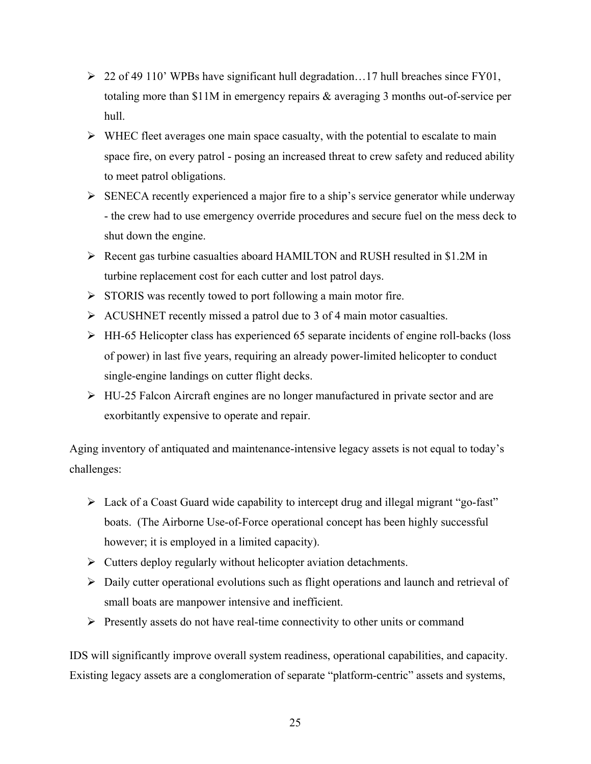- $\geq 22$  of 49 110' WPBs have significant hull degradation...17 hull breaches since FY01, totaling more than \$11M in emergency repairs & averaging 3 months out-of-service per hull.
- $\triangleright$  WHEC fleet averages one main space casualty, with the potential to escalate to main space fire, on every patrol - posing an increased threat to crew safety and reduced ability to meet patrol obligations.
- $\triangleright$  SENECA recently experienced a major fire to a ship's service generator while underway - the crew had to use emergency override procedures and secure fuel on the mess deck to shut down the engine.
- ¾ Recent gas turbine casualties aboard HAMILTON and RUSH resulted in \$1.2M in turbine replacement cost for each cutter and lost patrol days.
- $\triangleright$  STORIS was recently towed to port following a main motor fire.
- $\triangleright$  ACUSHNET recently missed a patrol due to 3 of 4 main motor casualties.
- ¾ HH-65 Helicopter class has experienced 65 separate incidents of engine roll-backs (loss of power) in last five years, requiring an already power-limited helicopter to conduct single-engine landings on cutter flight decks.
- ¾ HU-25 Falcon Aircraft engines are no longer manufactured in private sector and are exorbitantly expensive to operate and repair.

Aging inventory of antiquated and maintenance-intensive legacy assets is not equal to today's challenges:

- $\triangleright$  Lack of a Coast Guard wide capability to intercept drug and illegal migrant "go-fast" boats. (The Airborne Use-of-Force operational concept has been highly successful however; it is employed in a limited capacity).
- $\triangleright$  Cutters deploy regularly without helicopter aviation detachments.
- ¾ Daily cutter operational evolutions such as flight operations and launch and retrieval of small boats are manpower intensive and inefficient.
- $\triangleright$  Presently assets do not have real-time connectivity to other units or command

IDS will significantly improve overall system readiness, operational capabilities, and capacity. Existing legacy assets are a conglomeration of separate "platform-centric" assets and systems,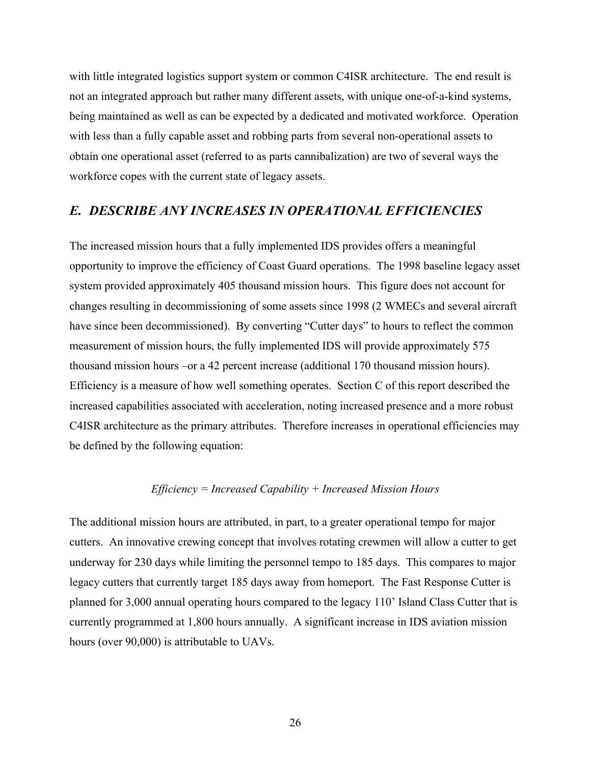with little integrated logistics support system or common C4ISR architecture. The end result is not an integrated approach but rather many different assets, with unique one-of-a-kind systems, being maintained as well as can be expected by a dedicated and motivated workforce. Operation with less than a fully capable asset and robbing parts from several non-operational assets to obtain one operational asset (referred to as parts cannibalization) are two of several ways the workforce copes with the current state of legacy assets.

### *E. DESCRIBE ANY INCREASES IN OPERATIONAL EFFICIENCIES*

The increased mission hours that a fully implemented IDS provides offers a meaningful opportunity to improve the efficiency of Coast Guard operations. The 1998 baseline legacy asset system provided approximately 405 thousand mission hours. This figure does not account for changes resulting in decommissioning of some assets since 1998 (2 WMECs and several aircraft have since been decommissioned). By converting "Cutter days" to hours to reflect the common measurement of mission hours, the fully implemented IDS will provide approximately 575 thousand mission hours –or a 42 percent increase (additional 170 thousand mission hours). Efficiency is a measure of how well something operates. Section C of this report described the increased capabilities associated with acceleration, noting increased presence and a more robust C4ISR architecture as the primary attributes. Therefore increases in operational efficiencies may be defined by the following equation:

#### *Efficiency = Increased Capability + Increased Mission Hours*

The additional mission hours are attributed, in part, to a greater operational tempo for major cutters. An innovative crewing concept that involves rotating crewmen will allow a cutter to get underway for 230 days while limiting the personnel tempo to 185 days. This compares to major legacy cutters that currently target 185 days away from homeport. The Fast Response Cutter is planned for 3,000 annual operating hours compared to the legacy 110' Island Class Cutter that is currently programmed at 1,800 hours annually. A significant increase in IDS aviation mission hours (over 90,000) is attributable to UAVs.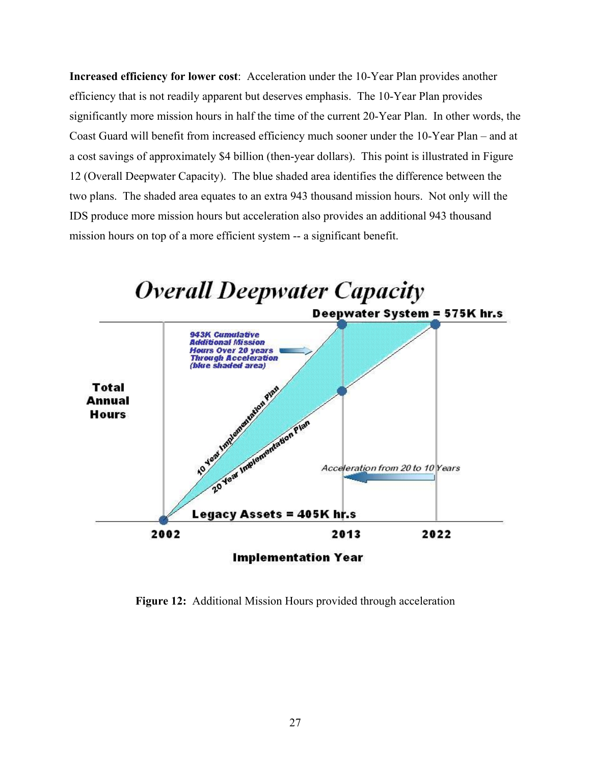**Increased efficiency for lower cost**: Acceleration under the 10-Year Plan provides another efficiency that is not readily apparent but deserves emphasis. The 10-Year Plan provides significantly more mission hours in half the time of the current 20-Year Plan. In other words, the Coast Guard will benefit from increased efficiency much sooner under the 10-Year Plan – and at a cost savings of approximately \$4 billion (then-year dollars). This point is illustrated in Figure 12 (Overall Deepwater Capacity). The blue shaded area identifies the difference between the two plans. The shaded area equates to an extra 943 thousand mission hours. Not only will the IDS produce more mission hours but acceleration also provides an additional 943 thousand mission hours on top of a more efficient system -- a significant benefit.



**Figure 12:** Additional Mission Hours provided through acceleration